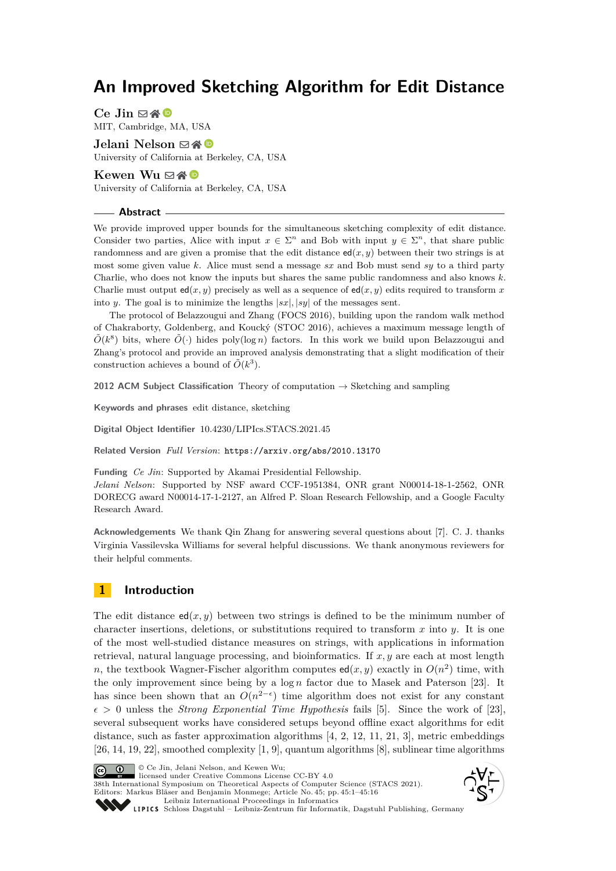# **An Improved Sketching Algorithm for Edit Distance**

 $Ce$   $Jin \, \nabla \otimes \mathbb{D}$ MIT, Cambridge, MA, USA

Jelani Nelson **⊠ i** University of California at Berkeley, CA, USA

**Kewen Wu**  $\otimes$   $\otimes$ University of California at Berkeley, CA, USA

### **Abstract**

We provide improved upper bounds for the simultaneous sketching complexity of edit distance. Consider two parties, Alice with input  $x \in \Sigma^n$  and Bob with input  $y \in \Sigma^n$ , that share public randomness and are given a promise that the edit distance  $ed(x, y)$  between their two strings is at most some given value *k*. Alice must send a message *sx* and Bob must send *sy* to a third party Charlie, who does not know the inputs but shares the same public randomness and also knows *k*. Charlie must output  $ed(x, y)$  precisely as well as a sequence of  $ed(x, y)$  edits required to transform x into *y*. The goal is to minimize the lengths  $|sx|$ ,  $|sy|$  of the messages sent.

The protocol of Belazzougui and Zhang (FOCS 2016), building upon the random walk method of Chakraborty, Goldenberg, and Koucký (STOC 2016), achieves a maximum message length of  $\tilde{O}(k^8)$  bits, where  $\tilde{O}(\cdot)$  hides poly(log *n*) factors. In this work we build upon Belazzougui and Zhang's protocol and provide an improved analysis demonstrating that a slight modification of their construction achieves a bound of  $\tilde{O}(k^3)$ .

**2012 ACM Subject Classification** Theory of computation → Sketching and sampling

**Keywords and phrases** edit distance, sketching

**Digital Object Identifier** [10.4230/LIPIcs.STACS.2021.45](https://doi.org/10.4230/LIPIcs.STACS.2021.45)

**Related Version** *Full Version*: <https://arxiv.org/abs/2010.13170>

**Funding** *Ce Jin*: Supported by Akamai Presidential Fellowship. *Jelani Nelson*: Supported by NSF award CCF-1951384, ONR grant N00014-18-1-2562, ONR DORECG award N00014-17-1-2127, an Alfred P. Sloan Research Fellowship, and a Google Faculty Research Award.

**Acknowledgements** We thank Qin Zhang for answering several questions about [\[7\]](#page-14-0). C. J. thanks Virginia Vassilevska Williams for several helpful discussions. We thank anonymous reviewers for their helpful comments.

# **1 Introduction**

The edit distance  $ed(x, y)$  between two strings is defined to be the minimum number of character insertions, deletions, or substitutions required to transform *x* into *y*. It is one of the most well-studied distance measures on strings, with applications in information retrieval, natural language processing, and bioinformatics. If *x, y* are each at most length *n*, the textbook Wagner-Fischer algorithm computes  $ed(x, y)$  exactly in  $O(n^2)$  time, with the only improvement since being by a log *n* factor due to Masek and Paterson [\[23\]](#page-15-0). It has since been shown that an  $O(n^{2-\epsilon})$  time algorithm does not exist for any constant  $\epsilon > 0$  unless the *Strong Exponential Time Hypothesis* fails [\[5\]](#page-14-1). Since the work of [\[23\]](#page-15-0), several subsequent works have considered setups beyond offline exact algorithms for edit distance, such as faster approximation algorithms [\[4,](#page-14-2) [2,](#page-14-3) [12,](#page-15-1) [11,](#page-14-4) [21,](#page-15-2) [3\]](#page-14-5), metric embeddings [\[26,](#page-15-3) [14,](#page-15-4) [19,](#page-15-5) [22\]](#page-15-6), smoothed complexity [\[1,](#page-14-6) [9\]](#page-14-7), quantum algorithms [\[8\]](#page-14-8), sublinear time algorithms



© Ce Jin, Jelani Nelson, and Kewen Wu; licensed under Creative Commons License CC-BY 4.0

38th International Symposium on Theoretical Aspects of Computer Science (STACS 2021). Editors: Markus Bläser and Benjamin Monmege; Article No. 45; pp. 45:1–45:16



[Leibniz International Proceedings in Informatics](https://www.dagstuhl.de/lipics/) [Schloss Dagstuhl – Leibniz-Zentrum für Informatik, Dagstuhl Publishing, Germany](https://www.dagstuhl.de)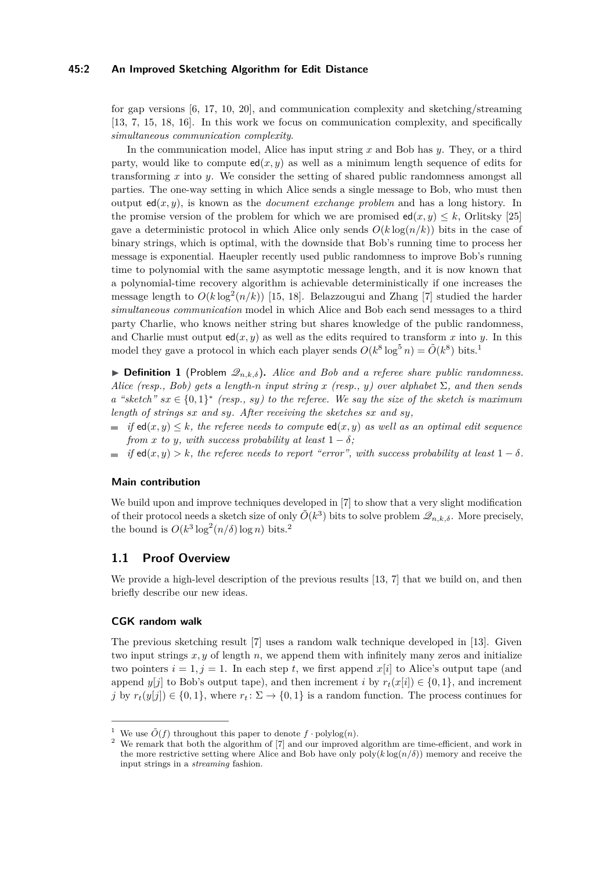### **45:2 An Improved Sketching Algorithm for Edit Distance**

for gap versions  $[6, 17, 10, 20]$  $[6, 17, 10, 20]$  $[6, 17, 10, 20]$  $[6, 17, 10, 20]$  $[6, 17, 10, 20]$  $[6, 17, 10, 20]$  $[6, 17, 10, 20]$ , and communication complexity and sketching/streaming [\[13,](#page-15-9) [7,](#page-14-0) [15,](#page-15-10) [18,](#page-15-11) [16\]](#page-15-12). In this work we focus on communication complexity, and specifically *simultaneous communication complexity*.

In the communication model, Alice has input string *x* and Bob has *y*. They, or a third party, would like to compute  $ed(x, y)$  as well as a minimum length sequence of edits for transforming *x* into *y*. We consider the setting of shared public randomness amongst all parties. The one-way setting in which Alice sends a single message to Bob, who must then output  $ed(x, y)$ , is known as the *document exchange problem* and has a long history. In the promise version of the problem for which we are promised  $ed(x, y) \leq k$ , Orlitsky [\[25\]](#page-15-13) gave a deterministic protocol in which Alice only sends  $O(k \log(n/k))$  bits in the case of binary strings, which is optimal, with the downside that Bob's running time to process her message is exponential. Haeupler recently used public randomness to improve Bob's running time to polynomial with the same asymptotic message length, and it is now known that a polynomial-time recovery algorithm is achievable deterministically if one increases the message length to  $O(k \log^2(n/k))$  [\[15,](#page-15-10) [18\]](#page-15-11). Belazzougui and Zhang [\[7\]](#page-14-0) studied the harder *simultaneous communication* model in which Alice and Bob each send messages to a third party Charlie, who knows neither string but shares knowledge of the public randomness, and Charlie must output  $ed(x, y)$  as well as the edits required to transform x into y. In this model they gave a protocol in which each player sends  $O(k^8 \log^5 n) = \tilde{O}(k^8)$  bits.<sup>[1](#page-1-0)</sup>

 $\triangleright$  **Definition 1** (Problem  $\mathscr{Q}_{n,k,\delta}$ ). Alice and Bob and a referee share public randomness. *Alice (resp., Bob) gets a length-n input string x (resp., y) over alphabet*  $\Sigma$ *, and then sends a* "sketch"  $sx \in \{0,1\}^*$  (resp., sy) to the referee. We say the size of the sketch is maximum *length of strings sx and sy. After receiving the sketches sx and sy,*

- $\bullet$  *if*  $ed(x, y) \leq k$ *, the referee needs to compute*  $ed(x, y)$  *as well as an optimal edit sequence from x to y,* with success probability at least  $1 - \delta$ *;*
- $\bullet$  *if*  $ed(x, y) > k$ , the referee needs to report "error", with success probability at least  $1 \delta$ *.*

### **Main contribution**

We build upon and improve techniques developed in [\[7\]](#page-14-0) to show that a very slight modification of their protocol needs a sketch size of only  $\tilde{O}(k^3)$  bits to solve problem  $\mathscr{Q}_{n,k,\delta}$ . More precisely, the bound is  $O(k^3 \log^2(n/\delta) \log n)$  $O(k^3 \log^2(n/\delta) \log n)$  $O(k^3 \log^2(n/\delta) \log n)$  bits.<sup>2</sup>

# <span id="page-1-2"></span>**1.1 Proof Overview**

We provide a high-level description of the previous results [\[13,](#page-15-9) [7\]](#page-14-0) that we build on, and then briefly describe our new ideas.

### **CGK random walk**

The previous sketching result [\[7\]](#page-14-0) uses a random walk technique developed in [\[13\]](#page-15-9). Given two input strings  $x, y$  of length  $n$ , we append them with infinitely many zeros and initialize two pointers  $i = 1, j = 1$ . In each step *t*, we first append  $x[i]$  to Alice's output tape (and append *y*[*j*] to Bob's output tape), and then increment *i* by  $r_t(x[i]) \in \{0,1\}$ , and increment *j* by  $r_t(y[j]) \in \{0,1\}$ , where  $r_t : \Sigma \to \{0,1\}$  is a random function. The process continues for

<span id="page-1-0"></span><sup>&</sup>lt;sup>1</sup> We use  $\tilde{O}(f)$  throughout this paper to denote  $f \cdot \text{polylog}(n)$ .

<span id="page-1-1"></span><sup>2</sup> We remark that both the algorithm of [\[7\]](#page-14-0) and our improved algorithm are time-efficient, and work in the more restrictive setting where Alice and Bob have only  $poly(k \log(n/\delta))$  memory and receive the input strings in a *streaming* fashion.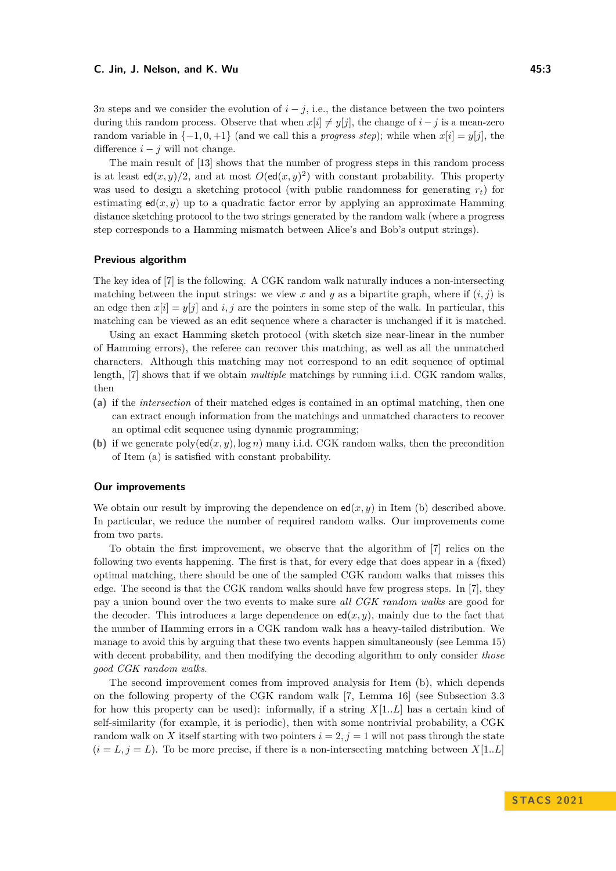3*n* steps and we consider the evolution of  $i - j$ , i.e., the distance between the two pointers during this random process. Observe that when  $x[i] \neq y[j]$ , the change of  $i - j$  is a mean-zero random variable in  $\{-1, 0, +1\}$  (and we call this a *progress step*); while when  $x[i] = y[i]$ , the difference  $i - j$  will not change.

The main result of [\[13\]](#page-15-9) shows that the number of progress steps in this random process is at least  $ed(x, y)/2$ , and at most  $O(ed(x, y)^2)$  with constant probability. This property was used to design a sketching protocol (with public randomness for generating  $r_t$ ) for estimating  $ed(x, y)$  up to a quadratic factor error by applying an approximate Hamming distance sketching protocol to the two strings generated by the random walk (where a progress step corresponds to a Hamming mismatch between Alice's and Bob's output strings).

### **Previous algorithm**

The key idea of [\[7\]](#page-14-0) is the following. A CGK random walk naturally induces a non-intersecting matching between the input strings: we view  $x$  and  $y$  as a bipartite graph, where if  $(i, j)$  is an edge then  $x[i] = y[i]$  and *i, j* are the pointers in some step of the walk. In particular, this matching can be viewed as an edit sequence where a character is unchanged if it is matched.

Using an exact Hamming sketch protocol (with sketch size near-linear in the number of Hamming errors), the referee can recover this matching, as well as all the unmatched characters. Although this matching may not correspond to an edit sequence of optimal length, [\[7\]](#page-14-0) shows that if we obtain *multiple* matchings by running i.i.d. CGK random walks, then

- **(a)** if the *intersection* of their matched edges is contained in an optimal matching, then one can extract enough information from the matchings and unmatched characters to recover an optimal edit sequence using dynamic programming;
- **(b)** if we generate poly $(\text{ed}(x, y), \log n)$  many i.i.d. CGK random walks, then the precondition of Item (a) is satisfied with constant probability.

#### **Our improvements**

We obtain our result by improving the dependence on  $ed(x, y)$  in Item (b) described above. In particular, we reduce the number of required random walks. Our improvements come from two parts.

To obtain the first improvement, we observe that the algorithm of [\[7\]](#page-14-0) relies on the following two events happening. The first is that, for every edge that does appear in a (fixed) optimal matching, there should be one of the sampled CGK random walks that misses this edge. The second is that the CGK random walks should have few progress steps. In [\[7\]](#page-14-0), they pay a union bound over the two events to make sure *all CGK random walks* are good for the decoder. This introduces a large dependence on  $ed(x, y)$ , mainly due to the fact that the number of Hamming errors in a CGK random walk has a heavy-tailed distribution. We manage to avoid this by arguing that these two events happen simultaneously (see Lemma [15\)](#page-7-0) with decent probability, and then modifying the decoding algorithm to only consider *those good CGK random walks*.

The second improvement comes from improved analysis for Item (b), which depends on the following property of the CGK random walk [\[7,](#page-14-0) Lemma 16] (see Subsection [3.3](#page-9-0) for how this property can be used): informally, if a string *X*[1*..L*] has a certain kind of self-similarity (for example, it is periodic), then with some nontrivial probability, a CGK random walk on X itself starting with two pointers  $i = 2, j = 1$  will not pass through the state  $(i = L, j = L)$ . To be more precise, if there is a non-intersecting matching between  $X[1..L]$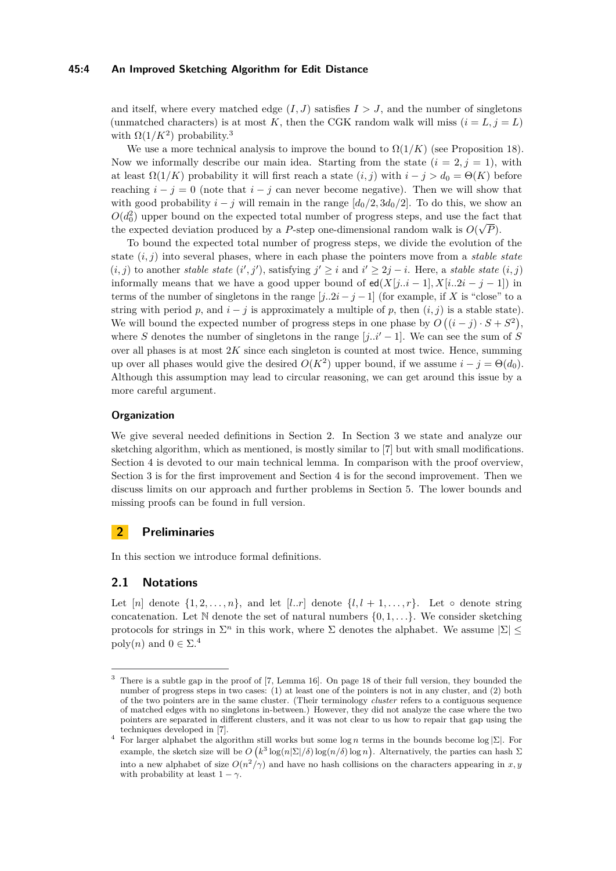### **45:4 An Improved Sketching Algorithm for Edit Distance**

and itself, where every matched edge  $(I, J)$  satisfies  $I > J$ , and the number of singletons (unmatched characters) is at most K, then the CGK random walk will miss  $(i = L, j = L)$ with  $\Omega(1/K^2)$  probability.<sup>[3](#page-3-0)</sup>

We use a more technical analysis to improve the bound to  $\Omega(1/K)$  (see Proposition [18\)](#page-9-1). Now we informally describe our main idea. Starting from the state  $(i = 2, j = 1)$ , with at least  $\Omega(1/K)$  probability it will first reach a state  $(i, j)$  with  $i - j > d_0 = \Theta(K)$  before reaching  $i - j = 0$  (note that  $i - j$  can never become negative). Then we will show that with good probability  $i - j$  will remain in the range  $[d_0/2, 3d_0/2]$ . To do this, we show an  $O(d_0^2)$  upper bound on the expected total number of progress steps, and use the fact that the expected deviation produced by a *P*-step one-dimensional random walk is  $O(\sqrt{P})$ .

To bound the expected total number of progress steps, we divide the evolution of the state  $(i, j)$  into several phases, where in each phase the pointers move from a *stable state*  $(i, j)$  to another *stable state*  $(i', j')$ , satisfying  $j' \geq i$  and  $i' \geq 2j - i$ . Here, a *stable state*  $(i, j)$ informally means that we have a good upper bound of  $ed(X[j..i-1], X[i..2i-j-1])$  in terms of the number of singletons in the range  $[j..2i - j - 1]$  (for example, if *X* is "close" to a string with period *p*, and  $i - j$  is approximately a multiple of *p*, then  $(i, j)$  is a stable state). We will bound the expected number of progress steps in one phase by  $O((i - j) \cdot S + S^2)$ , where *S* denotes the number of singletons in the range  $[j..i' - 1]$ . We can see the sum of *S* over all phases is at most 2*K* since each singleton is counted at most twice. Hence, summing up over all phases would give the desired  $O(K^2)$  upper bound, if we assume  $i - j = \Theta(d_0)$ . Although this assumption may lead to circular reasoning, we can get around this issue by a more careful argument.

### **Organization**

We give several needed definitions in Section [2.](#page-3-1) In Section [3](#page-6-0) we state and analyze our sketching algorithm, which as mentioned, is mostly similar to [\[7\]](#page-14-0) but with small modifications. Section [4](#page-10-0) is devoted to our main technical lemma. In comparison with the proof overview, Section [3](#page-6-0) is for the first improvement and Section [4](#page-10-0) is for the second improvement. Then we discuss limits on our approach and further problems in Section [5.](#page-13-0) The lower bounds and missing proofs can be found in full version.

# <span id="page-3-1"></span>**2 Preliminaries**

In this section we introduce formal definitions.

### **2.1 Notations**

Let  $[n]$  denote  $\{1, 2, \ldots, n\}$ , and let  $[l..r]$  denote  $\{l, l+1, \ldots, r\}$ . Let  $\circ$  denote string concatenation. Let  $\mathbb N$  denote the set of natural numbers  $\{0, 1, \ldots\}$ . We consider sketching protocols for strings in  $\Sigma^n$  in this work, where  $\Sigma$  denotes the alphabet. We assume  $|\Sigma| \le$ poly $(n)$  and  $0 \in \Sigma$ .<sup>[4](#page-3-2)</sup>

<span id="page-3-0"></span><sup>3</sup> There is a subtle gap in the proof of [\[7,](#page-14-0) Lemma 16]. On page 18 of their full version, they bounded the number of progress steps in two cases: (1) at least one of the pointers is not in any cluster, and (2) both of the two pointers are in the same cluster. (Their terminology *cluster* refers to a contiguous sequence of matched edges with no singletons in-between.) However, they did not analyze the case where the two pointers are separated in different clusters, and it was not clear to us how to repair that gap using the techniques developed in [\[7\]](#page-14-0).

<span id="page-3-2"></span><sup>4</sup> For larger alphabet the algorithm still works but some log *n* terms in the bounds become log |Σ|. For example, the sketch size will be  $O(k^3 \log(n|\Sigma|/\delta) \log(n/\delta) \log n)$ . Alternatively, the parties can hash  $\Sigma$ into a new alphabet of size  $O(n^2/\gamma)$  and have no hash collisions on the characters appearing in *x*, *y* with probability at least  $1 - \gamma$ .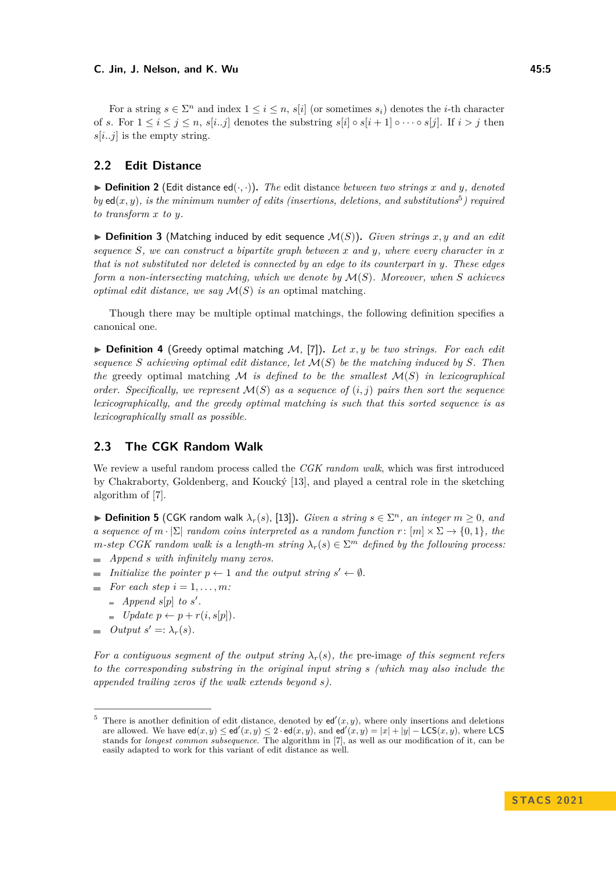For a string  $s \in \Sigma^n$  and index  $1 \leq i \leq n$ ,  $s[i]$  (or sometimes  $s_i$ ) denotes the *i*-th character of *s*. For  $1 \le i \le j \le n$ ,  $s[i..j]$  denotes the substring  $s[i] \circ s[i+1] \circ \cdots \circ s[j]$ . If  $i > j$  then  $s[i..j]$  is the empty string.

# **2.2 Edit Distance**

 $\triangleright$  **Definition 2** (Edit distance ed( $\cdot$ , $\cdot$ )). The edit distance *between two strings x and y, denoted* by  $ed(x, y)$ *, is the minimum number of edits (insertions, deletions, and substitutions*<sup>[5](#page-4-0)</sup>) required *to transform x to y.*

 $\triangleright$  **Definition 3** (Matching induced by edit sequence  $\mathcal{M}(S)$ ). *Given strings*  $x, y$  *and an edit sequence S, we can construct a bipartite graph between x and y, where every character in x that is not substituted nor deleted is connected by an edge to its counterpart in y. These edges form a non-intersecting matching, which we denote by* M(*S*)*. Moreover, when S achieves optimal edit distance, we say*  $\mathcal{M}(S)$  *is an optimal matching.* 

Though there may be multiple optimal matchings, the following definition specifies a canonical one.

 $\triangleright$  **Definition 4** (Greedy optimal matching M, [\[7\]](#page-14-0)). Let x, y be two strings. For each edit *sequence S achieving optimal edit distance, let* M(*S*) *be the matching induced by S. Then the* greedy optimal matching M *is defined to be the smallest* M(*S*) *in lexicographical order. Specifically, we represent*  $\mathcal{M}(S)$  *as a sequence of*  $(i, j)$  *pairs then sort the sequence lexicographically, and the greedy optimal matching is such that this sorted sequence is as lexicographically small as possible.*

# **2.3 The CGK Random Walk**

We review a useful random process called the *CGK random walk*, which was first introduced by Chakraborty, Goldenberg, and Koucký [\[13\]](#page-15-9), and played a central role in the sketching algorithm of [\[7\]](#page-14-0).

<span id="page-4-1"></span> $\blacktriangleright$  **Definition 5** (CGK random walk  $\lambda_r(s)$ , [\[13\]](#page-15-9)). *Given a string*  $s \in \Sigma^n$ *, an integer*  $m \geq 0$ *, and a sequence of*  $m \cdot |\Sigma|$  *random coins interpreted as a random function*  $r : [m] \times \Sigma \rightarrow \{0, 1\}$ *, the m*-step CGK random walk is a length-*m* string  $\lambda_r(s) \in \Sigma^m$  defined by the following process:

- *Append s with infinitely many zeros.*
- *Initialize the pointer*  $p \leftarrow 1$  *and the output string*  $s' \leftarrow \emptyset$ *.*
- For each step  $i = 1, \ldots, m$ *:* 
	- *Append*  $s[p]$  *to*  $s'$ *.*
- $\blacksquare$  *Update*  $p \leftarrow p + r(i, s[p])$ *.*
- *Output*  $s' =: \lambda_r(s)$ *.*

*For a contiguous segment of the output string*  $\lambda_r(s)$ *, the pre-image of this segment refers to the corresponding substring in the original input string s (which may also include the appended trailing zeros if the walk extends beyond s).*

<span id="page-4-0"></span><sup>&</sup>lt;sup>5</sup> There is another definition of edit distance, denoted by  $ed'(x, y)$ , where only insertions and deletions are allowed. We have  $ed(x, y) \leq ed'(x, y) \leq 2 \cdot ed(x, y)$ , and  $ed'(x, y) = |x| + |y| - \mathsf{LCS}(x, y)$ , where  $\mathsf{LCS}(x, y)$ stands for *longest common subsequence*. The algorithm in [\[7\]](#page-14-0), as well as our modification of it, can be easily adapted to work for this variant of edit distance as well.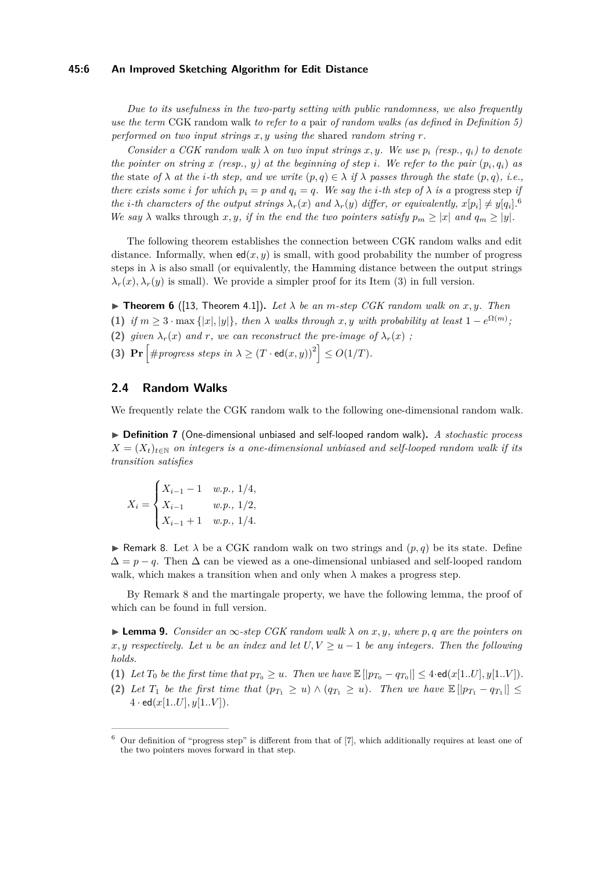### **45:6 An Improved Sketching Algorithm for Edit Distance**

*Due to its usefulness in the two-party setting with public randomness, we also frequently use the term* CGK random walk *to refer to a* pair *of random walks (as defined in Definition [5\)](#page-4-1) performed on two input strings x, y using the* shared *random string r.*

*Consider a CGK random walk*  $\lambda$  *on two input strings*  $x, y$ *. We use*  $p_i$  *(resp.,*  $q_i$ *) to denote the pointer on string*  $x$  (resp.,  $y$ ) at the beginning of step *i*. We refer to the pair  $(p_i, q_i)$  as *the* state of  $\lambda$  *at the i*-th step, and we write  $(p, q) \in \lambda$  *if*  $\lambda$  passes through the state  $(p, q)$ *, i.e.*, *there exists some i for which*  $p_i = p$  *and*  $q_i = q$ *. We say the i-th step of*  $\lambda$  *is a* progress step *if* the *i*-th characters of the output strings  $\lambda_r(x)$  and  $\lambda_r(y)$  differ, or equivalently,  $x[p_i] \neq y[q_i]$ .<sup>[6](#page-5-0)</sup> *We say*  $\lambda$  walks through  $x, y$ *, if in the end the two pointers satisfy*  $p_m \geq |x|$  *and*  $q_m \geq |y|$ *.* 

The following theorem establishes the connection between CGK random walks and edit distance. Informally, when  $ed(x, y)$  is small, with good probability the number of progress steps in  $\lambda$  is also small (or equivalently, the Hamming distance between the output strings  $\lambda_r(x), \lambda_r(y)$  is small). We provide a simpler proof for its Item (3) in full version.

<span id="page-5-2"></span> $\triangleright$  **Theorem 6** ([\[13,](#page-15-9) Theorem 4.1]). Let  $\lambda$  be an *m*-step CGK random walk on *x*, *y*. Then (1) *if*  $m \geq 3 \cdot \max\{|x|, |y|\}$ , then  $\lambda$  walks through  $x, y$  with probability at least  $1 - e^{\Omega(m)}$ ; **(2)** *given*  $\lambda_r(x)$  *and r, we can reconstruct the pre-image of*  $\lambda_r(x)$ ;

(3)  $\Pr\left[\#progress\ steps\ in\ \lambda \geq (T \cdot ed(x, y))^2\right] \leq O(1/T)$ .

### **2.4 Random Walks**

We frequently relate the CGK random walk to the following one-dimensional random walk.

▶ **Definition 7** (One-dimensional unbiased and self-looped random walk)**.** *A stochastic process*  $X = (X_t)_{t \in \mathbb{N}}$  *on integers is a one-dimensional unbiased and self-looped random walk if its transition satisfies*

$$
X_i = \begin{cases} X_{i-1} - 1 & w.p., \frac{1}{4}, \\ X_{i-1} & w.p., \frac{1}{2}, \\ X_{i-1} + 1 & w.p., \frac{1}{4}. \end{cases}
$$

<span id="page-5-1"></span>**• Remark 8.** Let  $\lambda$  be a CGK random walk on two strings and  $(p, q)$  be its state. Define  $\Delta = p - q$ . Then  $\Delta$  can be viewed as a one-dimensional unbiased and self-looped random walk, which makes a transition when and only when  $\lambda$  makes a progress step.

By Remark [8](#page-5-1) and the martingale property, we have the following lemma, the proof of which can be found in full version.

<span id="page-5-3"></span>▶ **Lemma 9.** *Consider an* ∞*-step CGK random walk λ on x, y, where p, q are the pointers on x, y respectively. Let u be an index and let*  $U, V \ge u - 1$  *be any integers. Then the following holds.*

- (1) Let  $T_0$  be the first time that  $p_{T_0} \geq u$ *. Then we have*  $\mathbb{E}[|p_{T_0} q_{T_0}|] \leq 4 \cdot \text{ed}(x[1..U], y[1..V])$ *.*
- (2) Let  $T_1$  be the first time that  $(p_{T_1} \ge u) \wedge (q_{T_1} \ge u)$ . Then we have  $\mathbb{E}[|p_{T_1} q_{T_1}|] \le$  $4 \cdot \text{ed}(x[1..U], y[1..V]).$

<span id="page-5-0"></span><sup>6</sup> Our definition of "progress step" is different from that of [\[7\]](#page-14-0), which additionally requires at least one of the two pointers moves forward in that step.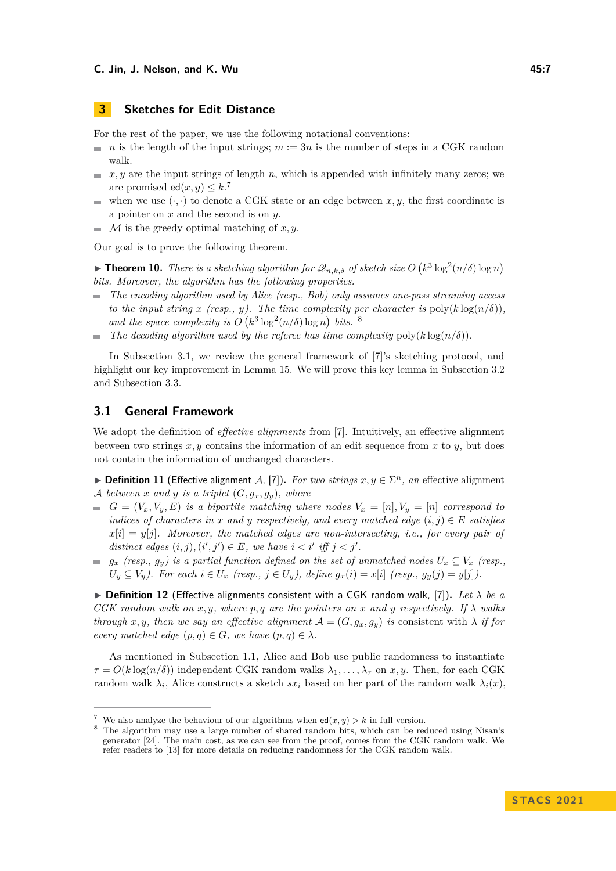# <span id="page-6-0"></span>**3 Sketches for Edit Distance**

For the rest of the paper, we use the following notational conventions:

- $\blacksquare$  *n* is the length of the input strings;  $m := 3n$  is the number of steps in a CGK random walk.
- *x, y* are the input strings of length *n*, which is appended with infinitely many zeros; we  $\mathbf{r}$ are promised  $ed(x, y) \leq k$ .<sup>[7](#page-6-1)</sup>
- when we use  $(\cdot, \cdot)$  to denote a CGK state or an edge between x, y, the first coordinate is  $\rightarrow$ a pointer on *x* and the second is on *y*.
- $\blacksquare$  M is the greedy optimal matching of x, y.

<span id="page-6-4"></span>Our goal is to prove the following theorem.

 $\blacktriangleright$  **Theorem 10.** *There is a sketching algorithm for*  $\mathscr{Q}_{n,k,\delta}$  *of sketch size*  $O(k^3 \log^2(n/\delta) \log n)$ *bits. Moreover, the algorithm has the following properties.*

- *The encoding algorithm used by Alice (resp., Bob) only assumes one-pass streaming access to the input string x* (*resp., y*). The time complexity per character is  $\text{poly}(k \log(n/\delta))$ , and the space complexity is  $O(k^3 \log^2(n/\delta) \log n)$  bits. <sup>[8](#page-6-2)</sup>
- *The decoding algorithm used by the referee has time complexity*  $poly(k \log(n/\delta))$ *.*

In Subsection [3.1,](#page-6-3) we review the general framework of [\[7\]](#page-14-0)'s sketching protocol, and highlight our key improvement in Lemma [15.](#page-7-0) We will prove this key lemma in Subsection [3.2](#page-8-0) and Subsection [3.3.](#page-9-0)

### <span id="page-6-3"></span>**3.1 General Framework**

We adopt the definition of *effective alignments* from [\[7\]](#page-14-0). Intuitively, an effective alignment between two strings  $x, y$  contains the information of an edit sequence from  $x$  to  $y$ , but does not contain the information of unchanged characters.

▶ **Definition 11** (Effective alignment *A*, [\[7\]](#page-14-0)). For two strings  $x, y \in \Sigma^n$ , an effective alignment A *between*  $x$  *and*  $y$  *is a triplet*  $(G, g_x, g_y)$ *, where* 

- $G = (V_x, V_y, E)$  *is a bipartite matching where nodes*  $V_x = [n], V_y = [n]$  *correspond to indices of characters in x and y respectively, and every matched edge*  $(i, j) \in E$  *satisfies*  $x[i] = y[i]$ *. Moreover, the matched edges are non-intersecting, i.e., for every pair of distinct edges*  $(i, j)$ ,  $(i', j') \in E$ *, we have*  $i < i'$  *iff*  $j < j'$ *.*
- $g_x$  *(resp., g<sub>y</sub>)* is a partial function defined on the set of unmatched nodes  $U_x \subseteq V_x$  *(resp.,*  $U_y \subseteq V_y$ ). For each  $i \in U_x$  (resp.,  $j \in U_y$ ), define  $g_x(i) = x[i]$  (resp.,  $g_y(j) = y[j]$ ).

▶ **Definition 12** (Effective alignments consistent with a CGK random walk, [\[7\]](#page-14-0))**.** *Let λ be a CGK random walk on*  $x, y$ *, where*  $p, q$  *are the pointers on*  $x$  *and*  $y$  *respectively.* If  $\lambda$  *walks through*  $x, y$ *, then we say an effective alignment*  $\mathcal{A} = (G, g_x, g_y)$  *is* consistent with  $\lambda$  *if for every matched edge*  $(p, q) \in G$ *, we have*  $(p, q) \in \lambda$ *.* 

As mentioned in Subsection [1.1,](#page-1-2) Alice and Bob use public randomness to instantiate  $\tau = O(k \log(n/\delta))$  independent CGK random walks  $\lambda_1, \ldots, \lambda_\tau$  on *x, y*. Then, for each CGK random walk  $\lambda_i$ , Alice constructs a sketch  $sx_i$  based on her part of the random walk  $\lambda_i(x)$ ,

<span id="page-6-1"></span><sup>&</sup>lt;sup>7</sup> We also analyze the behaviour of our algorithms when  $ed(x, y) > k$  in full version.

<span id="page-6-2"></span><sup>8</sup> The algorithm may use a large number of shared random bits, which can be reduced using Nisan's generator [\[24\]](#page-15-14). The main cost, as we can see from the proof, comes from the CGK random walk. We refer readers to [\[13\]](#page-15-9) for more details on reducing randomness for the CGK random walk.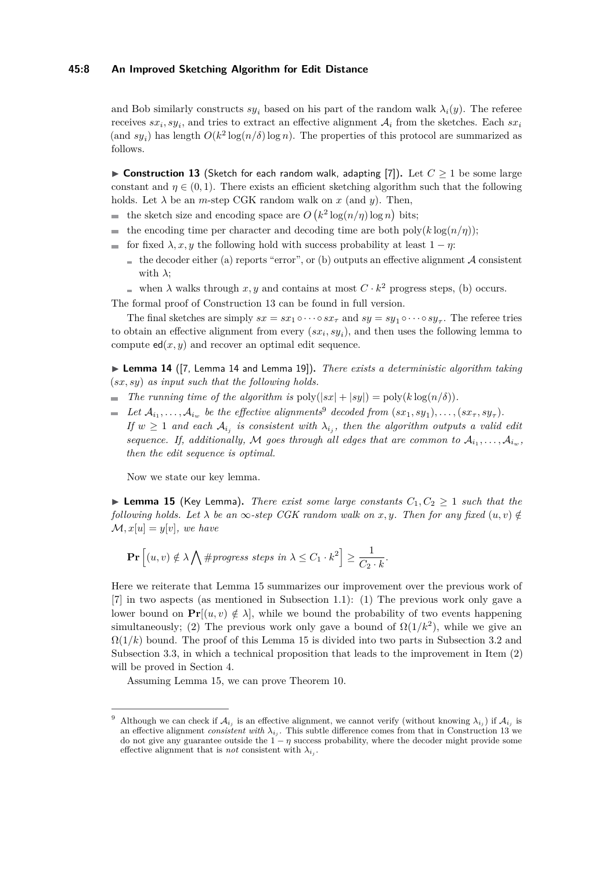### **45:8 An Improved Sketching Algorithm for Edit Distance**

and Bob similarly constructs  $sy_i$  based on his part of the random walk  $\lambda_i(y)$ . The referee receives  $sx_i, sy_i$ , and tries to extract an effective alignment  $A_i$  from the sketches. Each  $sx_i$ (and  $sy_i$ ) has length  $O(k^2 \log(n/\delta) \log n)$ . The properties of this protocol are summarized as follows.

<span id="page-7-1"></span>▶ **Construction 13** (Sketch for each random walk, adapting [\[7\]](#page-14-0)). Let  $C \ge 1$  be some large constant and  $\eta \in (0,1)$ . There exists an efficient sketching algorithm such that the following holds. Let  $\lambda$  be an *m*-step CGK random walk on *x* (and *y*). Then,

- the sketch size and encoding space are  $O(k^2 \log(n/\eta) \log n)$  bits;
- the encoding time per character and decoding time are both  $\text{poly}(k \log(n/\eta))$ ;
- for fixed  $\lambda$ , x, y the following hold with success probability at least  $1 \eta$ :
	- $\blacksquare$  the decoder either (a) reports "error", or (b) outputs an effective alignment A consistent with *λ*;
- when  $\lambda$  walks through  $x, y$  and contains at most  $C \cdot k^2$  progress steps, (b) occurs. The formal proof of Construction [13](#page-7-1) can be found in full version.

The final sketches are simply  $sx = sx_1 \circ \cdots \circ sx_\tau$  and  $sy = sy_1 \circ \cdots \circ sy_\tau$ . The referee tries to obtain an effective alignment from every  $(sx_i, sy_i)$ , and then uses the following lemma to compute  $ed(x, y)$  and recover an optimal edit sequence.

<span id="page-7-3"></span>▶ **Lemma 14** ([\[7,](#page-14-0) Lemma 14 and Lemma 19])**.** *There exists a deterministic algorithm taking* (*sx, sy*) *as input such that the following holds.*

- *The running time of the algorithm is*  $\text{poly}(|sx| + |sy|) = \text{poly}(k \log(n/\delta)).$
- Let  $A_{i_1}, \ldots, A_{i_w}$  be the effective alignments<sup>[9](#page-7-2)</sup> decoded from  $(sx_1, sy_1), \ldots, (sx_\tau, sy_\tau)$ . *If*  $w \geq 1$  *and each*  $\mathcal{A}_{i_j}$  *is consistent with*  $\lambda_{i_j}$ , *then the algorithm outputs a valid edit sequence. If, additionally,* M *goes through all edges that are common to*  $A_{i_1}, \ldots, A_{i_w}$ , *then the edit sequence is optimal.*

Now we state our key lemma.

<span id="page-7-0"></span> $\blacktriangleright$  **Lemma 15** (Key Lemma). *There exist some large constants*  $C_1, C_2 \geq 1$  *such that the following holds. Let*  $\lambda$  *be an*  $\infty$ *-step CGK random walk on x, y.* Then for any fixed  $(u, v) \notin$  $\mathcal{M}, x[u] = y[v]$ *, we have* 

$$
\mathbf{Pr}\left[(u,v) \notin \lambda \bigwedge \# progress\ steps\ in\ \lambda \le C_1 \cdot k^2\right] \ge \frac{1}{C_2 \cdot k}.
$$

Here we reiterate that Lemma [15](#page-7-0) summarizes our improvement over the previous work of [\[7\]](#page-14-0) in two aspects (as mentioned in Subsection [1.1\)](#page-1-2): (1) The previous work only gave a lower bound on  $\Pr[(u, v) \notin \lambda]$ , while we bound the probability of two events happening simultaneously; (2) The previous work only gave a bound of  $\Omega(1/k^2)$ , while we give an  $\Omega(1/k)$  bound. The proof of this Lemma [15](#page-7-0) is divided into two parts in Subsection [3.2](#page-8-0) and Subsection [3.3,](#page-9-0) in which a technical proposition that leads to the improvement in Item (2) will be proved in Section [4.](#page-10-0)

Assuming Lemma [15,](#page-7-0) we can prove Theorem [10.](#page-6-4)

<span id="page-7-2"></span><sup>&</sup>lt;sup>9</sup> Although we can check if  $A_{i_j}$  is an effective alignment, we cannot verify (without knowing  $\lambda_{i_j}$ ) if  $A_{i_j}$  is an effective alignment *consistent with*  $\lambda_{i_j}$ . This subtle difference comes from that in Construction [13](#page-7-1) we do not give any guarantee outside the  $1 - \eta$  success probability, where the decoder might provide some effective alignment that is *not* consistent with  $\lambda_{i_j}$ .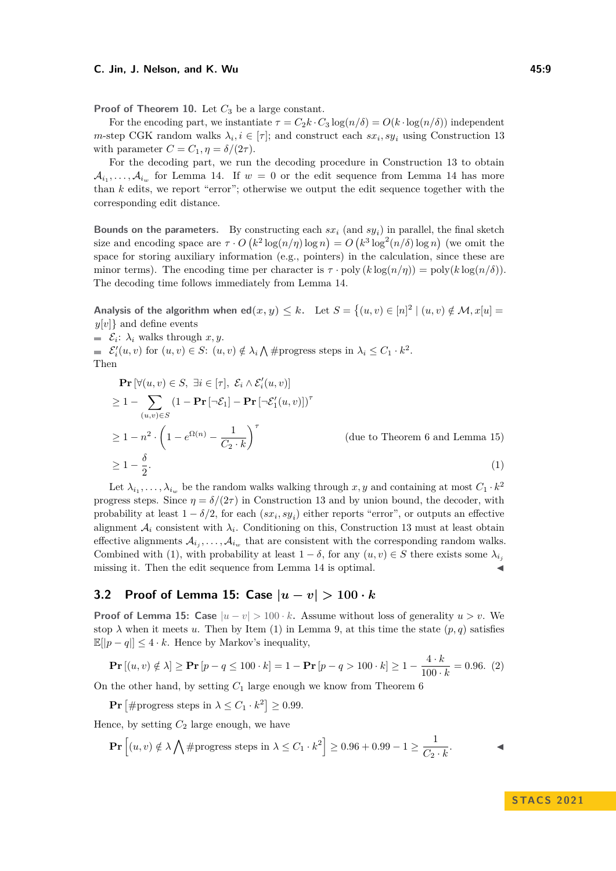**Proof of Theorem [10.](#page-6-4)** Let *C*<sup>3</sup> be a large constant.

For the encoding part, we instantiate  $\tau = C_2 k \cdot C_3 \log(n/\delta) = O(k \cdot \log(n/\delta))$  independent *m*-step CGK random walks  $\lambda_i, i \in [\tau]$ ; and construct each  $sx_i, sy_i$  using Construction [13](#page-7-1) with parameter  $C = C_1$ ,  $\eta = \delta/(2\tau)$ .

For the decoding part, we run the decoding procedure in Construction [13](#page-7-1) to obtain  $A_{i_1}, \ldots, A_{i_w}$  for Lemma [14.](#page-7-3) If  $w = 0$  or the edit sequence from Lemma [14](#page-7-3) has more than *k* edits, we report "error"; otherwise we output the edit sequence together with the corresponding edit distance.

**Bounds on the parameters.** By constructing each  $sx_i$  (and  $sy_i$ ) in parallel, the final sketch size and encoding space are  $\tau \cdot O(k^2 \log(n/\eta) \log n) = O(k^3 \log^2(n/\delta) \log n)$  (we omit the space for storing auxiliary information (e.g., pointers) in the calculation, since these are minor terms). The encoding time per character is  $\tau \cdot \text{poly}(k \log(n/\eta)) = \text{poly}(k \log(n/\delta))$ . The decoding time follows immediately from Lemma [14.](#page-7-3)

Analysis of the algorithm when  $ed(x, y) \leq k$ . Let  $S = \{(u, v) \in [n]^2 \mid (u, v) \notin \mathcal{M}, x[u] =$ *y*[*v*]} and define events

- $\mathcal{E}_i$ :  $\lambda_i$  walks through  $x, y$ .
- $\mathcal{E}'_i(u, v)$  for  $(u, v) \in S$ :  $(u, v) \notin \lambda_i \bigwedge \#$ progress steps in  $\lambda_i \leq C_1 \cdot k^2$ . Then

$$
\begin{aligned}\n&\mathbf{Pr}\left[\forall(u,v)\in S,\ \exists i\in[\tau],\ \mathcal{E}_i\wedge\mathcal{E}'_i(u,v)\right] \\
&\geq 1 - \sum_{(u,v)\in S} \left(1 - \mathbf{Pr}\left[\neg\mathcal{E}_1\right] - \mathbf{Pr}\left[\neg\mathcal{E}'_1(u,v)\right]\right)^{\tau} \\
&\geq 1 - n^2 \cdot \left(1 - e^{\Omega(n)} - \frac{1}{C_2 \cdot k}\right)^{\tau} \qquad \text{(due to Theorem 6 and Lemma 15)} \\
&\geq 1 - \frac{\delta}{2}.\n\end{aligned}
$$
\n
$$
(1)
$$

Let  $\lambda_{i_1}, \ldots, \lambda_{i_w}$  be the random walks walking through  $x, y$  and containing at most  $C_1 \cdot k^2$ progress steps. Since  $\eta = \delta/(2\tau)$  in Construction [13](#page-7-1) and by union bound, the decoder, with probability at least  $1 - \delta/2$ , for each  $(sx_i, sy_i)$  either reports "error", or outputs an effective alignment  $A_i$  consistent with  $\lambda_i$ . Conditioning on this, Construction [13](#page-7-1) must at least obtain effective alignments  $A_{i_j}, \ldots, A_{i_w}$  that are consistent with the corresponding random walks. Combined with [\(1\)](#page-8-1), with probability at least  $1 - \delta$ , for any  $(u, v) \in S$  there exists some  $\lambda_{i,j}$ missing it. Then the edit sequence from Lemma [14](#page-7-3) is optimal.

# <span id="page-8-0"></span>**3.2 Proof of Lemma [15:](#page-7-0) Case**  $|u - v| > 100 \cdot k$

**Proof of Lemma [15:](#page-7-0)** Case  $|u - v| > 100 \cdot k$ . Assume without loss of generality  $u > v$ . We stop  $\lambda$  when it meets *u*. Then by Item (1) in Lemma [9,](#page-5-3) at this time the state  $(p,q)$  satisfies  $\mathbb{E}[|p-q|] \leq 4 \cdot k$ . Hence by Markov's inequality,

$$
\Pr\left[(u,v) \notin \lambda\right] \ge \Pr\left[p - q \le 100 \cdot k\right] = 1 - \Pr\left[p - q > 100 \cdot k\right] \ge 1 - \frac{4 \cdot k}{100 \cdot k} = 0.96. \tag{2}
$$

On the other hand, by setting *C*<sup>1</sup> large enough we know from Theorem [6](#page-5-2)

**Pr**  $\left[\text{\#progress steps in } \lambda \leq C_1 \cdot k^2\right] \geq 0.99.$ 

Hence, by setting  $C_2$  large enough, we have

$$
\Pr\left[(u,v) \notin \lambda \bigwedge \text{#progress steps in } \lambda \le C_1 \cdot k^2\right] \ge 0.96 + 0.99 - 1 \ge \frac{1}{C_2 \cdot k}.
$$

<span id="page-8-1"></span>**S TAC S 2 0 2 1**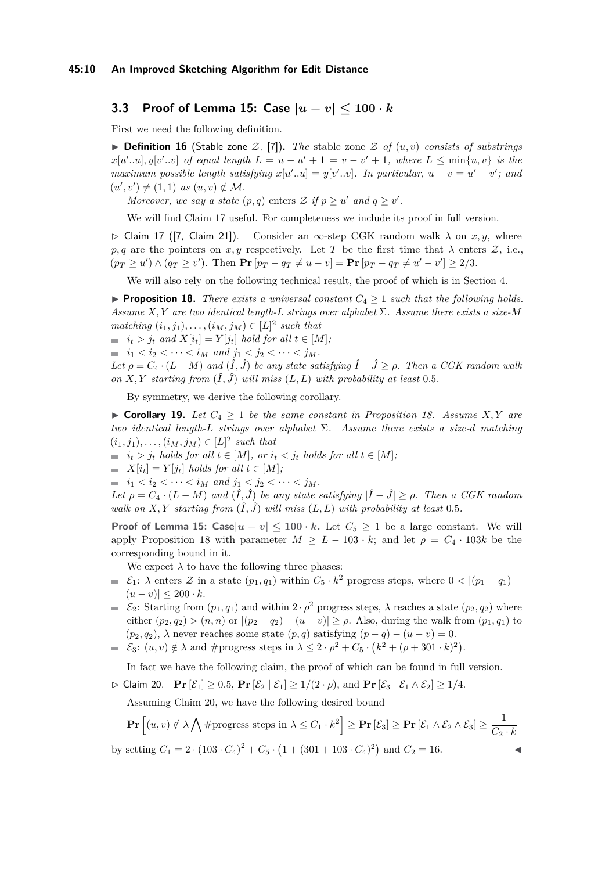# <span id="page-9-0"></span>**3.3 Proof of Lemma [15:](#page-7-0) Case**  $|u - v| \le 100 \cdot k$

First we need the following definition.

 $\triangleright$  **Definition 16** (Stable zone Z, [\[7\]](#page-14-0)). The stable zone Z of  $(u, v)$  consists of substrings  $x[u'..u], y[v'..v]$  *of equal length*  $L = u - u' + 1 = v - v' + 1$ *, where*  $L \le \min\{u, v\}$  *is the maximum possible length satisfying*  $x[u'..u] = y[v'..v]$ . In particular,  $u - v = u' - v'$ ; and  $(u', v') \neq (1, 1)$  *as*  $(u, v) \notin M$ *.* 

*Moreover, we say a state*  $(p, q)$  enters  $\mathcal Z$  *if*  $p \ge u'$  *and*  $q \ge v'$ *.* 

We will find Claim [17](#page-9-2) useful. For completeness we include its proof in full version.

<span id="page-9-2"></span> $\triangleright$  Claim 17 ([\[7,](#page-14-0) Claim 21]). Consider an  $\infty$ -step CGK random walk  $\lambda$  on  $x, y$ , where *p, q* are the pointers on *x, y* respectively. Let *T* be the first time that  $\lambda$  enters  $\mathcal{Z}$ , i.e.,  $(p_T \ge u') \wedge (q_T \ge v')$ . Then  $\Pr[p_T - q_T \ne u - v] = \Pr[p_T - q_T \ne u' - v'] \ge 2/3$ .

We will also rely on the following technical result, the proof of which is in Section [4.](#page-10-0)

<span id="page-9-1"></span>▶ **Proposition 18.** *There exists a universal constant*  $C_4 \geq 1$  *such that the following holds. Assume X, Y are two identical length-L strings over alphabet* Σ*. Assume there exists a size-M matching*  $(i_1, j_1), \ldots, (i_M, j_M) \in [L]^2$  such that

 $\bullet$  *i*<sub>t</sub> > *j*<sub>t</sub> and  $X[i_t] = Y[j_t]$  *hold for all*  $t \in [M]$ ;

 $\blacksquare$   $i_1 < i_2 < \cdots < i_M$  and  $j_1 < j_2 < \cdots < j_M$ .

*Let*  $\rho = C_4 \cdot (L - M)$  *and*  $(\hat{I}, \hat{J})$  *be any state satisfying*  $\hat{I} - \hat{J} \ge \rho$ *. Then a CGK random walk* on  $X, Y$  *starting from*  $(\hat{I}, \hat{J})$  *will miss*  $(L, L)$  *with probability at least* 0.5*.* 

By symmetry, we derive the following corollary.

▶ **Corollary 19.** *Let*  $C_4 > 1$  *be the same constant in Proposition [18.](#page-9-1) Assume X,Y are two identical length-L strings over alphabet* Σ*. Assume there exists a size-d matching*  $(i_1, j_1), \ldots, (i_M, j_M) \in [L]^2$  such that

 $\bullet$  *i*<sub>t</sub> > *j*<sub>t</sub> *holds for all*  $t \in [M]$ *, or*  $i_t < j_t$  *holds for all*  $t \in [M]$ *;* 

 $\blacksquare$  *X*[ $i_t$ ] = *Y*[ $j_t$ ] *holds for all*  $t \in [M]$ *;* 

 $\blacksquare$  *i*<sub>1</sub> < *i*<sub>2</sub> <  $\cdots$  < *i*<sub>*M*</sub> *and j*<sub>1</sub> < *j*<sub>2</sub> <  $\cdots$  < *j*<sub>*M*</sub>.

*Let*  $\rho = C_4 \cdot (L - M)$  *and*  $(\hat{I}, \hat{J})$  *be any state satisfying*  $|\hat{I} - \hat{J}| \ge \rho$ *. Then a CGK random walk on*  $X, Y$  *starting from*  $(\hat{I}, \hat{J})$  *will miss*  $(L, L)$  *with probability at least* 0.5*.* 

**Proof of Lemma [15:](#page-7-0)** Case $|u - v| \le 100 \cdot k$ . Let  $C_5 > 1$  be a large constant. We will apply Proposition [18](#page-9-1) with parameter  $M \geq L - 103 \cdot k$ ; and let  $\rho = C_4 \cdot 103k$  be the corresponding bound in it.

We expect  $\lambda$  to have the following three phases:

- $\mathcal{E}_1$ :  $\lambda$  enters  $\mathcal{Z}$  in a state  $(p_1, q_1)$  within  $C_5 \cdot k^2$  progress steps, where  $0 < |(p_1 q_1) (q_2 q_2)|$  $(u - v)| \leq 200 \cdot k$ .
- $\mathcal{E}_2$ : Starting from  $(p_1, q_1)$  and within  $2 \cdot \rho^2$  progress steps,  $\lambda$  reaches a state  $(p_2, q_2)$  where either  $(p_2, q_2) > (n, n)$  or  $|(p_2 - q_2) - (u - v)| \ge \rho$ . Also, during the walk from  $(p_1, q_1)$  to  $(p_2, q_2)$ ,  $\lambda$  never reaches some state  $(p, q)$  satisfying  $(p - q) - (u - v) = 0$ .

 $\mathcal{E}_3$ :  $(u, v) \notin \lambda$  and #progress steps in  $\lambda \leq 2 \cdot \rho^2 + C_5 \cdot (k^2 + (\rho + 301 \cdot k)^2)$ .

In fact we have the following claim, the proof of which can be found in full version.

<span id="page-9-3"></span> $\rhd$  Claim 20. **Pr**  $[\mathcal{E}_1] \geq 0.5$ , **Pr**  $[\mathcal{E}_2 | \mathcal{E}_1] \geq 1/(2 \cdot \rho)$ , and **Pr**  $[\mathcal{E}_3 | \mathcal{E}_1 \wedge \mathcal{E}_2] \geq 1/4$ .

Assuming Claim [20,](#page-9-3) we have the following desired bound

$$
\mathbf{Pr}\left[(u, v) \notin \lambda \bigwedge \text{#progress steps in } \lambda \leq C_1 \cdot k^2\right] \geq \mathbf{Pr}\left[\mathcal{E}_3\right] \geq \mathbf{Pr}\left[\mathcal{E}_1 \wedge \mathcal{E}_2 \wedge \mathcal{E}_3\right] \geq \frac{1}{C_2 \cdot k}
$$

by setting  $C_1 = 2 \cdot (103 \cdot C_4)^2 + C_5 \cdot (1 + (301 + 103 \cdot C_4)^2)$  and  $C_2 = 16$ .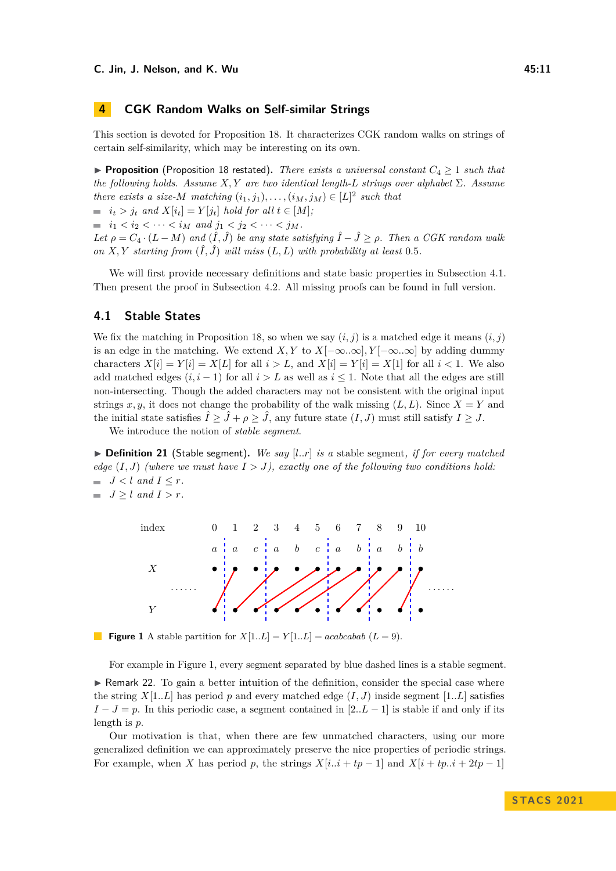# <span id="page-10-0"></span>**4 CGK Random Walks on Self-similar Strings**

This section is devoted for Proposition [18.](#page-9-1) It characterizes CGK random walks on strings of certain self-similarity, which may be interesting on its own.

▶ **Proposition** (Proposition [18](#page-9-1) restated). *There exists a universal constant*  $C_4 \geq 1$  *such that the following holds. Assume X, Y are two identical length-L strings over alphabet* Σ*. Assume there exists a size-M matching*  $(i_1, j_1), \ldots, (i_M, j_M) \in [L]^2$  such that  $\bullet$  *i*<sub>t</sub> > *j*<sub>t</sub> and  $X[i_t] = Y[j_t]$  *hold for all*  $t \in [M]$ *;* 

 $\blacksquare$  *i*<sub>1</sub> < *i*<sub>2</sub> <  $\cdots$  < *i*<sub>*M</sub> and j*<sub>1</sub> < *j*<sub>2</sub> <  $\cdots$  < *j*<sub>*M*</sub>.</sub>

*Let*  $\rho = C_4 \cdot (L - M)$  *and*  $(\hat{I}, \hat{J})$  *be any state satisfying*  $\hat{I} - \hat{J} \ge \rho$ *. Then a CGK random walk* on  $X, Y$  *starting from*  $(\hat{I}, \hat{J})$  *will miss*  $(L, L)$  *with probability at least* 0.5*.* 

We will first provide necessary definitions and state basic properties in Subsection [4.1.](#page-10-1) Then present the proof in Subsection [4.2.](#page-11-0) All missing proofs can be found in full version.

# <span id="page-10-1"></span>**4.1 Stable States**

We fix the matching in Proposition [18,](#page-9-1) so when we say  $(i, j)$  is a matched edge it means  $(i, j)$ is an edge in the matching. We extend *X,Y* to *X*[−∞*.*.∞]*,Y*[−∞*.*.∞] by adding dummy characters  $X[i] = Y[i] = X[L]$  for all  $i > L$ , and  $X[i] = Y[i] = X[1]$  for all  $i < 1$ . We also add matched edges  $(i, i - 1)$  for all  $i > L$  as well as  $i \leq 1$ . Note that all the edges are still non-intersecting. Though the added characters may not be consistent with the original input strings  $x, y$ , it does not change the probability of the walk missing  $(L, L)$ . Since  $X = Y$  and the initial state satisfies  $\tilde{I} \geq \tilde{J} + \rho \geq \tilde{J}$ , any future state  $(I, J)$  must still satisfy  $I \geq J$ .

We introduce the notion of *stable segment*.

 $\triangleright$  **Definition 21** (Stable segment). We say [l..r] is a stable segment, if for every matched *edge* (*I, J*) *(where we must have I > J), exactly one of the following two conditions hold:*  $J < l$  *and*  $I \leq r$ *.* 

<span id="page-10-2"></span> $J \geq l$  *and*  $I > r$ *.* 



**Figure 1** A stable partition for  $X[1..L] = Y[1..L] = acabcabab(L = 9)$ .

For example in Figure [1,](#page-10-2) every segment separated by blue dashed lines is a stable segment.

 $\triangleright$  Remark 22. To gain a better intuition of the definition, consider the special case where the string  $X[1..L]$  has period p and every matched edge  $(I, J)$  inside segment  $[1..L]$  satisfies  $I - J = p$ . In this periodic case, a segment contained in [2*..L* − 1] is stable if and only if its length is *p*.

Our motivation is that, when there are few unmatched characters, using our more generalized definition we can approximately preserve the nice properties of periodic strings. For example, when *X* has period *p*, the strings  $X[i..i + tp - 1]$  and  $X[i + tp..i + 2tp - 1]$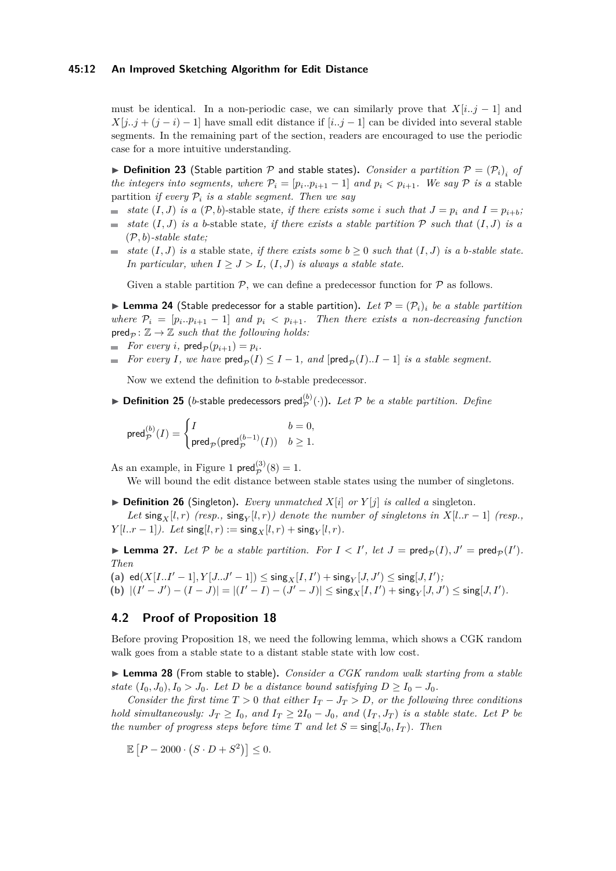### **45:12 An Improved Sketching Algorithm for Edit Distance**

must be identical. In a non-periodic case, we can similarly prove that  $X[i..j-1]$  and  $X[j..j + (j-i) - 1]$  have small edit distance if  $[i..j - 1]$  can be divided into several stable segments. In the remaining part of the section, readers are encouraged to use the periodic case for a more intuitive understanding.

 $\blacktriangleright$  **Definition 23** (Stable partition  $\mathcal{P}$  and stable states). *Consider a partition*  $\mathcal{P} = (\mathcal{P}_i)_i$  *of the integers into segments, where*  $P_i = [p_i \cdot p_{i+1} - 1]$  *and*  $p_i < p_{i+1}$ *. We say*  $P$  *is a* stable partition *if every*  $P_i$  *is a stable segment. Then we say* 

- $\bullet$  *state* (*I, J*) *is a* (*P, b*)-stable state, *if there exists some i* such that  $J = p_i$  and  $I = p_{i+b}$ ;
- $\bullet$  *state* (*I, J*) *is a b*-stable state, *if there exists a stable partition*  $\mathcal P$  *such that* (*I, J*) *is a* (P*, b*)*-stable state;*
- *state* ( $I, J$ ) *is a* stable state, *if there exists some*  $b > 0$  *such that* ( $I, J$ ) *is a b-stable state. In particular, when*  $I \geq J > L$ *,*  $(I, J)$  *is always a stable state.*

Given a stable partition  $P$ , we can define a predecessor function for  $P$  as follows.

**• Lemma 24** (Stable predecessor for a stable partition). Let  $\mathcal{P} = (\mathcal{P}_i)_i$  be a stable partition *where*  $P_i = [p_i \cdot p_{i+1} - 1]$  *and*  $p_i < p_{i+1}$ *. Then there exists a non-decreasing function*  $\text{pred}_{\mathcal{D}} : \mathbb{Z} \to \mathbb{Z}$  *such that the following holds:* 

- For every *i*,  $\text{pred}_{\mathcal{P}}(p_{i+1}) = p_i$ .
- *For every I*, we have  $\text{pred}_{\mathcal{P}}(I) \leq I 1$ , and  $[\text{pred}_{\mathcal{P}}(I) \cdot I 1]$  is a stable segment.

Now we extend the definition to *b*-stable predecessor.

 $\blacktriangleright$  **Definition 25** (*b*-stable predecessors pred $_{\mathcal{P}}^{(b)}(\cdot)$ ). Let  $\mathcal{P}$  *be a stable partition. Define* 

$$
\mathrm{pred}_{\mathcal{P}}^{(b)}(I) = \begin{cases} I & b = 0, \\ \mathrm{pred}_{\mathcal{P}}(\mathrm{pred}_{\mathcal{P}}^{(b-1)}(I)) & b \geq 1. \end{cases}
$$

As an example, in Figure [1](#page-10-2)  $\text{pred}_{\mathcal{P}}^{(3)}(8) = 1$ .

We will bound the edit distance between stable states using the number of singletons.

 $\triangleright$  **Definition 26** (Singleton). *Every unmatched X*[*i*] *or Y*[*j*] *is called a* singleton.

*Let*  $\textsf{sing}_X[l, r)$  *(resp.,*  $\textsf{sing}_Y[l, r)$ *)* denote the number of singletons in  $X[l..r-1]$  *(resp., Y* [*l..r* − 1]). Let  $\textsf{sing}[l, r) := \textsf{sing}_X[l, r) + \textsf{sing}_Y[l, r)$ .

<span id="page-11-2"></span>**Example 27.** Let P be a stable partition. For  $I < I'$ , let  $J = \text{pred}_{\mathcal{P}}(I), J' = \text{pred}_{\mathcal{P}}(I').$ *Then*

 $\big(\textsf{a}\big) \ \textsf{ed}(X[I..I' - 1], Y[J..J' - 1]) \leq \textsf{sing}_X[I, I') + \textsf{sing}_Y[J, J') \leq \textsf{sing}[J, I'],$  $|((I' - J') - (I - J))| = |(I' - I) - (J' - J)| \leq \text{sing}_X[I, I') + \text{sing}_Y[J, J') \leq \text{sing}[J, I').$ 

# <span id="page-11-0"></span>**4.2 Proof of Proposition [18](#page-9-1)**

Before proving Proposition [18,](#page-9-1) we need the following lemma, which shows a CGK random walk goes from a stable state to a distant stable state with low cost.

<span id="page-11-1"></span>▶ **Lemma 28** (From stable to stable)**.** *Consider a CGK random walk starting from a stable state*  $(I_0, J_0)$ ,  $I_0 > J_0$ *. Let D be a distance bound satisfying*  $D \geq I_0 - J_0$ *.* 

*Consider the first time*  $T > 0$  *that either*  $I_T - J_T > D$ *, or the following three conditions hold simultaneously:*  $J_T \geq I_0$ *, and*  $I_T \geq 2I_0 - J_0$ *, and*  $(I_T, J_T)$  *is a stable state. Let P be the number of progress steps before time T* and let  $S = \text{sing}[J_0, I_T)$ *. Then* 

$$
\mathbb{E}\left[P - 2000 \cdot (S \cdot D + S^2)\right] \le 0.
$$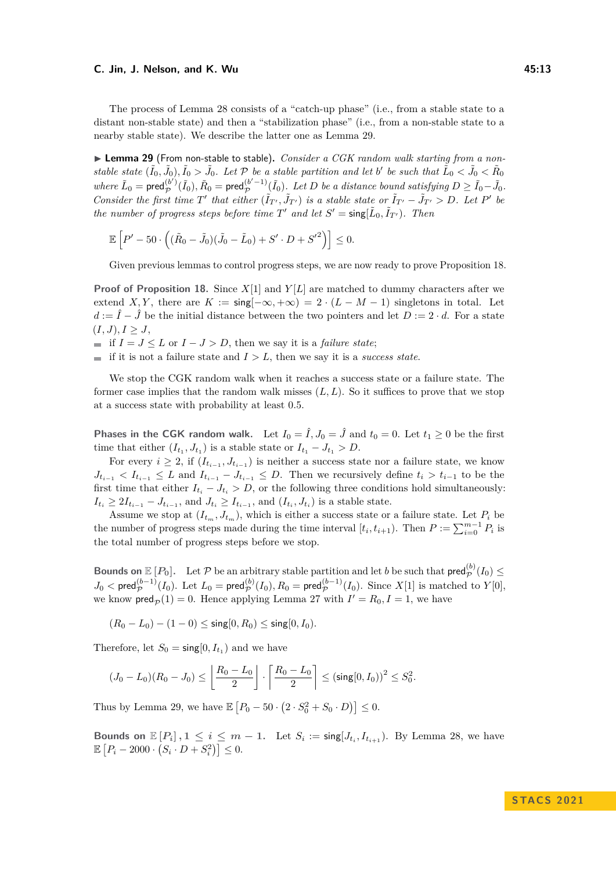The process of Lemma [28](#page-11-1) consists of a "catch-up phase" (i.e., from a stable state to a distant non-stable state) and then a "stabilization phase" (i.e., from a non-stable state to a nearby stable state). We describe the latter one as Lemma [29.](#page-12-0)

<span id="page-12-0"></span>▶ **Lemma 29** (From non-stable to stable). *Consider a CGK random walk starting from a non*stable state  $(\tilde{I}_0, \tilde{J}_0), \tilde{I}_0 > \tilde{J}_0$ . Let P be a stable partition and let b' be such that  $\tilde{L}_0 < \tilde{J}_0 < \tilde{R}_0$  $where \ \tilde{L}_0 = \text{pred}_{\mathcal{P}}^{(b')}(\tilde{I}_0), \ \tilde{R}_0 = \text{pred}_{\mathcal{P}}^{(b'-1)}(\tilde{I}_0).$  Let *D* be a distance bound satisfying  $D \geq \tilde{I}_0 - \tilde{J}_0$ . where  $E_0$  =  $\mu$ ed<sub>p</sub> (10),  $H_0$  =  $\mu$ ed<sub>p</sub> (10). Let D be a assumed bound satisfying  $D \geq 10-30$ <br>Consider the first time T' that either  $(\tilde{I}_{T'}, \tilde{J}_{T'})$  is a stable state or  $\tilde{I}_{T'} - \tilde{J}_{T'} > D$ . Let P' be *the number of progress steps before time*  $T'$  *and let*  $S' = \text{sing}(\tilde{L}_0, \tilde{I}_{T'})$ *. Then* 

$$
\mathbb{E}\left[P'-50\cdot\left((\tilde{R}_0-\tilde{J}_0)(\tilde{J}_0-\tilde{L}_0)+S'\cdot D+S'^{2}\right)\right]\leq 0.
$$

Given previous lemmas to control progress steps, we are now ready to prove Proposition [18.](#page-9-1)

**Proof of Proposition [18.](#page-9-1)** Since  $X[1]$  and  $Y[L]$  are matched to dummy characters after we extend *X,Y*, there are  $K := \text{sing}[-\infty, +\infty) = 2 \cdot (L - M - 1)$  singletons in total. Let  $d := \hat{I} - \hat{J}$  be the initial distance between the two pointers and let  $D := 2 \cdot d$ . For a state  $(I, J), I \geq J,$ 

 $\blacksquare$  if *I* = *J* ≤ *L* or *I* − *J* > *D*, then we say it is a *failure state*;

if it is not a failure state and  $I > L$ , then we say it is a *success state*.

We stop the CGK random walk when it reaches a success state or a failure state. The former case implies that the random walk misses (*L, L*). So it suffices to prove that we stop at a success state with probability at least 0*.*5.

**Phases in the CGK random walk.** Let  $I_0 = \hat{I}$ ,  $J_0 = \hat{J}$  and  $t_0 = 0$ . Let  $t_1 \geq 0$  be the first time that either  $(I_{t_1}, J_{t_1})$  is a stable state or  $I_{t_1} - J_{t_1} > D$ .

For every  $i \geq 2$ , if  $(I_{t_{i-1}}, J_{t_{i-1}})$  is neither a success state nor a failure state, we know *J*<sub>*t*<sup>*i*</sup>−1</sub> ≤ *L* and *I*<sub>*t*<sup>*i*</sup>−1</sub> − *J*<sub>*t*<sup>*i*</sup>−1</sub> ≤ *D*. Then we recursively define  $t_i > t_{i-1}$  to be the first time that either  $I_{t_i} - J_{t_i} > D$ , or the following three conditions hold simultaneously:  $I_{t_i} \geq 2I_{t_{i-1}} - J_{t_{i-1}}$ , and  $J_{t_i} \geq I_{t_{i-1}}$ , and  $(I_{t_i}, J_{t_i})$  is a stable state.

Assume we stop at  $(I_{t_m}, J_{t_m})$ , which is either a success state or a failure state. Let  $P_i$  be the number of progress steps made during the time interval  $[t_i, t_{i+1})$ . Then  $P := \sum_{i=0}^{m-1} P_i$  is the total number of progress steps before we stop.

**Bounds on**  $\mathbb{E}[P_0]$ . Let P be an arbitrary stable partition and let b be such that  $\text{pred}_{\mathcal{P}}^{(b)}(I_0) \leq$  $J_0$  < pred $_{\mathcal{P}}^{(b-1)}(I_0)$ . Let  $L_0 = \text{pred}_{\mathcal{P}}^{(b)}(I_0)$ ,  $R_0 = \text{pred}_{\mathcal{P}}^{(b-1)}(I_0)$ . Since *X*[1] is matched to *Y*[0], we know  $\text{pred}_{\mathcal{P}}(1) = 0$ . Hence applying Lemma [27](#page-11-2) with  $I' = R_0, I = 1$ , we have

 $(R_0 - L_0) - (1 - 0) \leq$  sing $[0, R_0) \leq$  sing $[0, I_0)$ .

Therefore, let  $S_0 = \text{sing}[0, I_{t_1})$  and we have

$$
(J_0 - L_0)(R_0 - J_0) \le \left\lfloor \frac{R_0 - L_0}{2} \right\rfloor \cdot \left\lceil \frac{R_0 - L_0}{2} \right\rceil \le (\text{sing}[0, I_0))^2 \le S_0^2.
$$

Thus by Lemma [29,](#page-12-0) we have  $\mathbb{E}\left[P_0 - 50 \cdot (2 \cdot S_0^2 + S_0 \cdot D)\right] \leq 0$ .

**Bounds on**  $\mathbb{E}[P_i], 1 \leq i \leq m-1$ . Let  $S_i := \text{sing}[J_{t_i}, I_{t_{i+1}})$ . By Lemma [28,](#page-11-1) we have  $\mathbb{E}\left[P_i - 2000 \cdot (S_i \cdot D + S_i^2)\right] \leq 0.$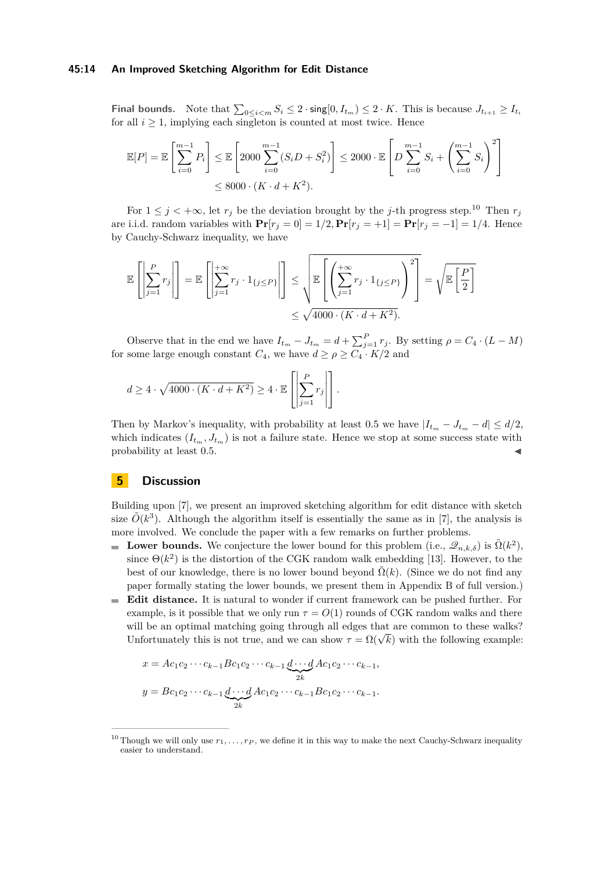#### **45:14 An Improved Sketching Algorithm for Edit Distance**

**Final bounds.** Note that  $\sum_{0 \le i \le m} S_i \le 2 \cdot \text{sing}[0, I_{t_m}) \le 2 \cdot K$ . This is because  $J_{t_{i+1}} \ge I_{t_i}$ for all  $i \geq 1$ , implying each singleton is counted at most twice. Hence

$$
\mathbb{E}[P] = \mathbb{E}\left[\sum_{i=0}^{m-1} P_i\right] \le \mathbb{E}\left[2000\sum_{i=0}^{m-1} (S_i D + S_i^2)\right] \le 2000 \cdot \mathbb{E}\left[D\sum_{i=0}^{m-1} S_i + \left(\sum_{i=0}^{m-1} S_i\right)^2\right]
$$
  

$$
\le 8000 \cdot (K \cdot d + K^2).
$$

For  $1 \leq j < +\infty$ , let  $r_j$  be the deviation brought by the *j*-th progress step.<sup>[10](#page-13-1)</sup> Then  $r_j$ are i.i.d. random variables with  $\Pr[r_j = 0] = 1/2, \Pr[r_j = +1] = \Pr[r_j = -1] = 1/4$ . Hence by Cauchy-Schwarz inequality, we have

$$
\mathbb{E}\left[\left|\sum_{j=1}^P r_j\right|\right] = \mathbb{E}\left[\left|\sum_{j=1}^{+\infty} r_j \cdot 1_{\{j \le P\}}\right|\right] \le \sqrt{\mathbb{E}\left[\left(\sum_{j=1}^{+\infty} r_j \cdot 1_{\{j \le P\}}\right)^2\right]} = \sqrt{\mathbb{E}\left[\frac{P}{2}\right]}
$$

$$
\le \sqrt{4000 \cdot (K \cdot d + K^2)}.
$$

Observe that in the end we have  $I_{t_m} - J_{t_m} = d + \sum_{j=1}^P r_j$ . By setting  $\rho = C_4 \cdot (L - M)$ for some large enough constant  $C_4$ , we have  $d \ge \rho \ge C_4 \cdot K/2$  and

$$
d \ge 4 \cdot \sqrt{4000 \cdot (K \cdot d + K^2)} \ge 4 \cdot \mathbb{E}\left[\left|\sum_{j=1}^P r_j\right|\right].
$$

Then by Markov's inequality, with probability at least 0.5 we have  $|I_{t_m} - J_{t_m} - d| \le d/2$ , which indicates  $(I_{t_m}, J_{t_m})$  is not a failure state. Hence we stop at some success state with probability at least  $0.5$ .

# <span id="page-13-0"></span>**5 Discussion**

Building upon [\[7\]](#page-14-0), we present an improved sketching algorithm for edit distance with sketch size  $\tilde{O}(k^3)$ . Although the algorithm itself is essentially the same as in [\[7\]](#page-14-0), the analysis is more involved. We conclude the paper with a few remarks on further problems.

- **Lower bounds.** We conjecture the lower bound for this problem (i.e.,  $\mathscr{Q}_{n,k,\delta}$ ) is  $\tilde{\Omega}(k^2)$ , since  $\Theta(k^2)$  is the distortion of the CGK random walk embedding [\[13\]](#page-15-9). However, to the best of our knowledge, there is no lower bound beyond  $\tilde{\Omega}(k)$ . (Since we do not find any paper formally stating the lower bounds, we present them in Appendix B of full version.)
- **Edit distance.** It is natural to wonder if current framework can be pushed further. For example, is it possible that we only run  $\tau = O(1)$  rounds of CGK random walks and there will be an optimal matching going through all edges that are common to these walks? will be an optimal matching going through an edges that are common to these waiks?<br>Unfortunately this is not true, and we can show  $\tau = \Omega(\sqrt{k})$  with the following example:

$$
x = Ac_1c_2 \cdots c_{k-1} Bc_1c_2 \cdots c_{k-1} \underbrace{d \cdots d}_{2k} Ac_1c_2 \cdots c_{k-1},
$$
  

$$
y = Bc_1c_2 \cdots c_{k-1} \underbrace{d \cdots d}_{2k} Ac_1c_2 \cdots c_{k-1} Bc_1c_2 \cdots c_{k-1}.
$$

<span id="page-13-1"></span><sup>&</sup>lt;sup>10</sup> Though we will only use  $r_1, \ldots, r_p$ , we define it in this way to make the next Cauchy-Schwarz inequality easier to understand.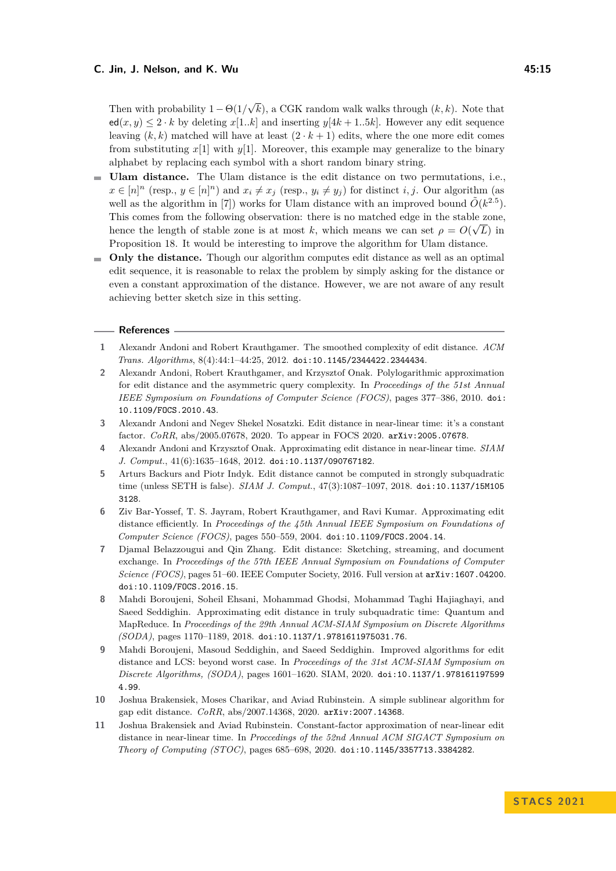Then with probability 1−Θ(1*/* √ *k*), a CGK random walk walks through (*k, k*). Note that  $ed(x, y) \leq 2 \cdot k$  by deleting  $x[1..k]$  and inserting  $y[4k + 1..5k]$ . However any edit sequence leaving  $(k, k)$  matched will have at least  $(2 \cdot k + 1)$  edits, where the one more edit comes from substituting *x*[1] with *y*[1]. Moreover, this example may generalize to the binary alphabet by replacing each symbol with a short random binary string.

- **Ulam distance.** The Ulam distance is the edit distance on two permutations, i.e.,  $x \in [n]^n$  (resp.,  $y \in [n]^n$ ) and  $x_i \neq x_j$  (resp.,  $y_i \neq y_j$ ) for distinct *i, j*. Our algorithm (as well as the algorithm in [\[7\]](#page-14-0)) works for Ulam distance with an improved bound  $\tilde{O}(k^{2.5})$ . This comes from the following observation: there is no matched edge in the stable zone, hence the length of stable zone is at most k, which means we can set  $\rho = O(\sqrt{L})$  in Proposition [18.](#page-9-1) It would be interesting to improve the algorithm for Ulam distance.
- **Only the distance.** Though our algorithm computes edit distance as well as an optimal edit sequence, it is reasonable to relax the problem by simply asking for the distance or even a constant approximation of the distance. However, we are not aware of any result achieving better sketch size in this setting.

#### **References**

- <span id="page-14-6"></span>**1** Alexandr Andoni and Robert Krauthgamer. The smoothed complexity of edit distance. *ACM Trans. Algorithms*, 8(4):44:1–44:25, 2012. [doi:10.1145/2344422.2344434](https://doi.org/10.1145/2344422.2344434).
- <span id="page-14-3"></span>**2** Alexandr Andoni, Robert Krauthgamer, and Krzysztof Onak. Polylogarithmic approximation for edit distance and the asymmetric query complexity. In *Proceedings of the 51st Annual IEEE Symposium on Foundations of Computer Science (FOCS)*, pages 377–386, 2010. [doi:](https://doi.org/10.1109/FOCS.2010.43) [10.1109/FOCS.2010.43](https://doi.org/10.1109/FOCS.2010.43).
- <span id="page-14-5"></span>**3** Alexandr Andoni and Negev Shekel Nosatzki. Edit distance in near-linear time: it's a constant factor. *CoRR*, abs/2005.07678, 2020. To appear in FOCS 2020. [arXiv:2005.07678](http://arxiv.org/abs/2005.07678).
- <span id="page-14-2"></span>**4** Alexandr Andoni and Krzysztof Onak. Approximating edit distance in near-linear time. *SIAM J. Comput.*, 41(6):1635–1648, 2012. [doi:10.1137/090767182](https://doi.org/10.1137/090767182).
- <span id="page-14-1"></span>**5** Arturs Backurs and Piotr Indyk. Edit distance cannot be computed in strongly subquadratic time (unless SETH is false). *SIAM J. Comput.*, 47(3):1087–1097, 2018. [doi:10.1137/15M105](https://doi.org/10.1137/15M1053128) [3128](https://doi.org/10.1137/15M1053128).
- <span id="page-14-9"></span>**6** Ziv Bar-Yossef, T. S. Jayram, Robert Krauthgamer, and Ravi Kumar. Approximating edit distance efficiently. In *Proceedings of the 45th Annual IEEE Symposium on Foundations of Computer Science (FOCS)*, pages 550–559, 2004. [doi:10.1109/FOCS.2004.14](https://doi.org/10.1109/FOCS.2004.14).
- <span id="page-14-0"></span>**7** Djamal Belazzougui and Qin Zhang. Edit distance: Sketching, streaming, and document exchange. In *Proceedings of the 57th IEEE Annual Symposium on Foundations of Computer Science (FOCS)*, pages 51–60. IEEE Computer Society, 2016. Full version at [arXiv:1607.04200](https://arxiv.org/abs/1607.04200). [doi:10.1109/FOCS.2016.15](https://doi.org/10.1109/FOCS.2016.15).
- <span id="page-14-8"></span>**8** Mahdi Boroujeni, Soheil Ehsani, Mohammad Ghodsi, Mohammad Taghi Hajiaghayi, and Saeed Seddighin. Approximating edit distance in truly subquadratic time: Quantum and MapReduce. In *Proceedings of the 29th Annual ACM-SIAM Symposium on Discrete Algorithms (SODA)*, pages 1170–1189, 2018. [doi:10.1137/1.9781611975031.76](https://doi.org/10.1137/1.9781611975031.76).
- <span id="page-14-7"></span>**9** Mahdi Boroujeni, Masoud Seddighin, and Saeed Seddighin. Improved algorithms for edit distance and LCS: beyond worst case. In *Proceedings of the 31st ACM-SIAM Symposium on Discrete Algorithms, (SODA)*, pages 1601–1620. SIAM, 2020. [doi:10.1137/1.978161197599](https://doi.org/10.1137/1.9781611975994.99) [4.99](https://doi.org/10.1137/1.9781611975994.99).
- <span id="page-14-10"></span>**10** Joshua Brakensiek, Moses Charikar, and Aviad Rubinstein. A simple sublinear algorithm for gap edit distance. *CoRR*, abs/2007.14368, 2020. [arXiv:2007.14368](http://arxiv.org/abs/2007.14368).
- <span id="page-14-4"></span>**11** Joshua Brakensiek and Aviad Rubinstein. Constant-factor approximation of near-linear edit distance in near-linear time. In *Proccedings of the 52nd Annual ACM SIGACT Symposium on Theory of Computing (STOC)*, pages 685–698, 2020. [doi:10.1145/3357713.3384282](https://doi.org/10.1145/3357713.3384282).